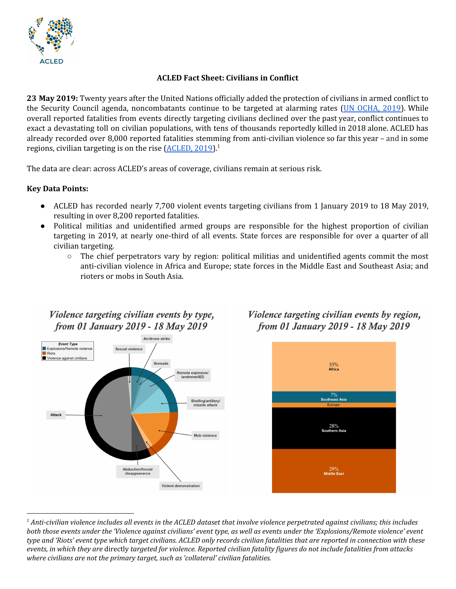

### **ACLED Fact Sheet: Civilians in Conflict**

**23 May 2019:** Twenty years after the United Nations officially added the protection of civilians in armed conflict to the Security Council agenda, noncombatants continue to be targeted at alarming rates (UN [OCHA,](https://reliefweb.int/report/world/building-culture-protection-20-years-security-council-engagement-protection-civilians) 2019). While overall reported fatalities from events directly targeting civilians declined over the past year, conflict continues to exact a devastating toll on civilian populations, with tens of thousands reportedly killed in 2018 alone. ACLED has already recorded over 8,000 reported fatalities stemming from anti-civilian violence so far this year – and in some regions, civilian targeting is on the rise ([ACLED,](https://www.acleddata.com/wp-content/uploads/2019/01/ACLED-2018-The-Year-in-Review_Final_Pub-1-1.pdf) 2019).<sup>1</sup>

The data are clear: across ACLED's areas of coverage, civilians remain at serious risk.

#### **Key Data Points:**

- ACLED has recorded nearly 7,700 violent events targeting civilians from 1 January 2019 to 18 May 2019, resulting in over 8,200 reported fatalities.
- Political militias and unidentified armed groups are responsible for the highest proportion of civilian targeting in 2019, at nearly one-third of all events. State forces are responsible for over a quarter of all civilian targeting.
	- $\circ$  The chief perpetrators vary by region: political militias and unidentified agents commit the most anti-civilian violence in Africa and Europe; state forces in the Middle East and Southeast Asia; and rioters or mobs in South Asia.



## Violence targeting civilian events by type, from 01 January 2019 - 18 May 2019





 $^1$  Anti-civilian violence includes all events in the ACLED dataset that involve violence perpetrated against civilians; this includes both those events under the 'Violence against civilians' event type, as well as events under the 'Explosions/Remote violence' event type and 'Riots' event type which target civilians. ACLED only records civilian fatalities that are reported in connection with these events, in which they are directly targeted for violence. Reported civilian fatality figures do not include fatalities from attacks *where civilians are not the primary target, such as 'collateral' civilian fatalities.*